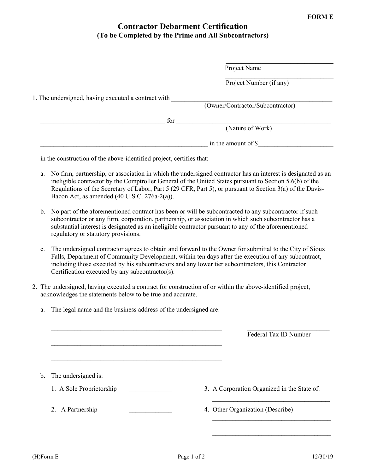## **Contractor Debarment Certification (To be Completed by the Prime and All Subcontractors)**

**\_\_\_\_\_\_\_\_\_\_\_\_\_\_\_\_\_\_\_\_\_\_\_\_\_\_\_\_\_\_\_\_\_\_\_\_\_\_\_\_\_\_\_\_\_\_\_\_\_\_\_\_\_\_\_\_\_\_\_\_\_\_\_\_\_\_\_\_\_\_\_\_\_\_\_\_\_\_\_\_\_\_\_\_**

|                |                                                                                                                                                                          | Project Name                                                                                                                                                                                                                                                                                                                         |
|----------------|--------------------------------------------------------------------------------------------------------------------------------------------------------------------------|--------------------------------------------------------------------------------------------------------------------------------------------------------------------------------------------------------------------------------------------------------------------------------------------------------------------------------------|
|                |                                                                                                                                                                          | Project Number (if any)                                                                                                                                                                                                                                                                                                              |
|                | 1. The undersigned, having executed a contract with                                                                                                                      |                                                                                                                                                                                                                                                                                                                                      |
|                |                                                                                                                                                                          | (Owner/Contractor/Subcontractor)                                                                                                                                                                                                                                                                                                     |
|                | for                                                                                                                                                                      | (Nature of Work)                                                                                                                                                                                                                                                                                                                     |
|                |                                                                                                                                                                          |                                                                                                                                                                                                                                                                                                                                      |
|                |                                                                                                                                                                          | $\frac{1}{2}$ in the amount of \$                                                                                                                                                                                                                                                                                                    |
|                | in the construction of the above-identified project, certifies that:                                                                                                     |                                                                                                                                                                                                                                                                                                                                      |
| a.             | Bacon Act, as amended (40 U.S.C. 276a-2(a)).                                                                                                                             | No firm, partnership, or association in which the undersigned contractor has an interest is designated as an<br>ineligible contractor by the Comptroller General of the United States pursuant to Section 5.6(b) of the<br>Regulations of the Secretary of Labor, Part 5 (29 CFR, Part 5), or pursuant to Section 3(a) of the Davis- |
| b.             | substantial interest is designated as an ineligible contractor pursuant to any of the aforementioned<br>regulatory or statutory provisions.                              | No part of the aforementioned contract has been or will be subcontracted to any subcontractor if such<br>subcontractor or any firm, corporation, partnership, or association in which such subcontractor has a                                                                                                                       |
| $\mathbf{c}$ . | including those executed by his subcontractors and any lower tier subcontractors, this Contractor                                                                        | The undersigned contractor agrees to obtain and forward to the Owner for submittal to the City of Sioux<br>Falls, Department of Community Development, within ten days after the execution of any subcontract,                                                                                                                       |
|                | Certification executed by any subcontractor(s).                                                                                                                          |                                                                                                                                                                                                                                                                                                                                      |
|                | 2. The undersigned, having executed a contract for construction of or within the above-identified project,<br>acknowledges the statements below to be true and accurate. |                                                                                                                                                                                                                                                                                                                                      |
| a.             | The legal name and the business address of the undersigned are:                                                                                                          |                                                                                                                                                                                                                                                                                                                                      |
|                |                                                                                                                                                                          | Federal Tax ID Number                                                                                                                                                                                                                                                                                                                |
|                |                                                                                                                                                                          |                                                                                                                                                                                                                                                                                                                                      |
| b.             | The undersigned is:                                                                                                                                                      |                                                                                                                                                                                                                                                                                                                                      |
|                | 1. A Sole Proprietorship                                                                                                                                                 | 3. A Corporation Organized in the State of:                                                                                                                                                                                                                                                                                          |
|                | A Partnership<br>2.                                                                                                                                                      | 4. Other Organization (Describe)                                                                                                                                                                                                                                                                                                     |